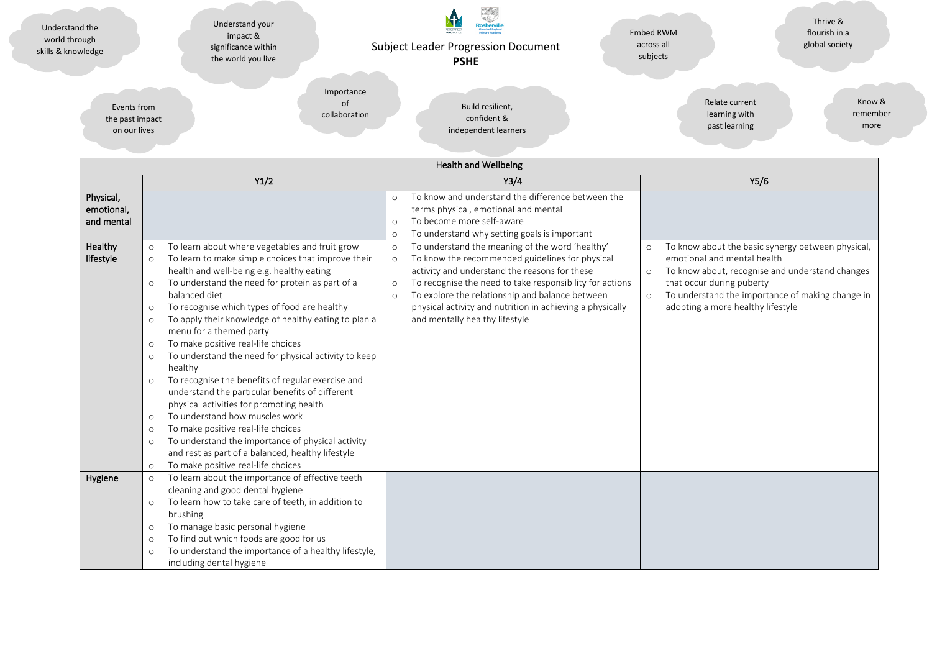| Understand the<br>world through<br>skills & knowledge | Understand your<br>impact &<br>significance within<br>the world you live |               | łosherv<br><b>Getter Angles</b><br><b>Subject Leader Progression Document</b><br><b>PSHE</b> | Embed RWM<br>across all<br>subjects | Thrive &<br>flourish in a<br>global society |
|-------------------------------------------------------|--------------------------------------------------------------------------|---------------|----------------------------------------------------------------------------------------------|-------------------------------------|---------------------------------------------|
| Events from                                           |                                                                          | Importance    | Build resilient,                                                                             | Relate current                      | Know &                                      |
| the past impact                                       |                                                                          | of            | confident &                                                                                  | learning with                       | remember                                    |
| on our lives                                          |                                                                          | collaboration | independent learners                                                                         | past learning                       | more                                        |

| <b>Health and Wellbeing</b>           |                                                                                                                                                                                                                                                                                                                                                                                                                                                                                                                                                                                                                                                                                                                                                                                                                                                                                                                                                                        |                                                                                                                                                                                                                                                                                                                                                                                                               |                                                                                                                                                                                                                                                                                            |  |  |  |
|---------------------------------------|------------------------------------------------------------------------------------------------------------------------------------------------------------------------------------------------------------------------------------------------------------------------------------------------------------------------------------------------------------------------------------------------------------------------------------------------------------------------------------------------------------------------------------------------------------------------------------------------------------------------------------------------------------------------------------------------------------------------------------------------------------------------------------------------------------------------------------------------------------------------------------------------------------------------------------------------------------------------|---------------------------------------------------------------------------------------------------------------------------------------------------------------------------------------------------------------------------------------------------------------------------------------------------------------------------------------------------------------------------------------------------------------|--------------------------------------------------------------------------------------------------------------------------------------------------------------------------------------------------------------------------------------------------------------------------------------------|--|--|--|
|                                       | Y1/2                                                                                                                                                                                                                                                                                                                                                                                                                                                                                                                                                                                                                                                                                                                                                                                                                                                                                                                                                                   | Y3/4                                                                                                                                                                                                                                                                                                                                                                                                          | Y5/6                                                                                                                                                                                                                                                                                       |  |  |  |
| Physical,<br>emotional,<br>and mental |                                                                                                                                                                                                                                                                                                                                                                                                                                                                                                                                                                                                                                                                                                                                                                                                                                                                                                                                                                        | To know and understand the difference between the<br>$\Omega$<br>terms physical, emotional and mental<br>To become more self-aware<br>$\circ$<br>To understand why setting goals is important<br>$\circ$                                                                                                                                                                                                      |                                                                                                                                                                                                                                                                                            |  |  |  |
| Healthy<br>lifestyle                  | To learn about where vegetables and fruit grow<br>$\circ$<br>To learn to make simple choices that improve their<br>$\circ$<br>health and well-being e.g. healthy eating<br>To understand the need for protein as part of a<br>$\circ$<br>balanced diet<br>To recognise which types of food are healthy<br>$\circ$<br>To apply their knowledge of healthy eating to plan a<br>$\circ$<br>menu for a themed party<br>To make positive real-life choices<br>$\circ$<br>To understand the need for physical activity to keep<br>$\circ$<br>healthy<br>To recognise the benefits of regular exercise and<br>$\circ$<br>understand the particular benefits of different<br>physical activities for promoting health<br>To understand how muscles work<br>$\circ$<br>To make positive real-life choices<br>$\circ$<br>To understand the importance of physical activity<br>$\circ$<br>and rest as part of a balanced, healthy lifestyle<br>To make positive real-life choices | To understand the meaning of the word 'healthy'<br>$\circ$<br>To know the recommended guidelines for physical<br>$\circ$<br>activity and understand the reasons for these<br>To recognise the need to take responsibility for actions<br>$\circ$<br>To explore the relationship and balance between<br>$\circ$<br>physical activity and nutrition in achieving a physically<br>and mentally healthy lifestyle | To know about the basic synergy between physical,<br>$\circ$<br>emotional and mental health<br>To know about, recognise and understand changes<br>$\circ$<br>that occur during puberty<br>To understand the importance of making change in<br>$\circ$<br>adopting a more healthy lifestyle |  |  |  |
| Hygiene                               | $\circ$<br>To learn about the importance of effective teeth<br>$\circ$<br>cleaning and good dental hygiene<br>To learn how to take care of teeth, in addition to<br>$\circ$<br>brushing<br>To manage basic personal hygiene<br>$\circ$<br>To find out which foods are good for us<br>$\circ$<br>To understand the importance of a healthy lifestyle,<br>$\circ$<br>including dental hygiene                                                                                                                                                                                                                                                                                                                                                                                                                                                                                                                                                                            |                                                                                                                                                                                                                                                                                                                                                                                                               |                                                                                                                                                                                                                                                                                            |  |  |  |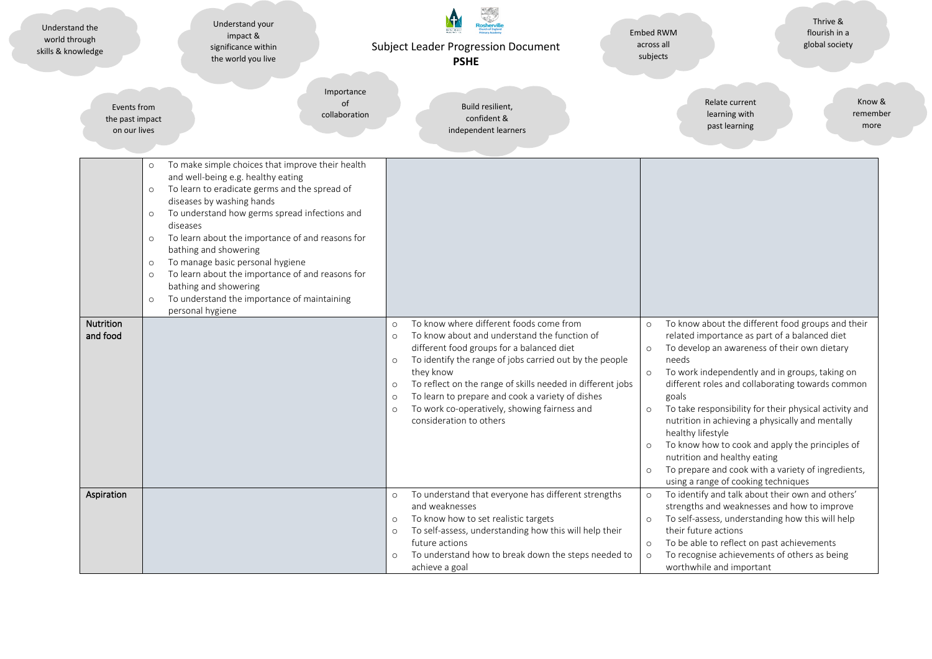| Understand the<br>world through<br>skills & knowledge                                                     | Understand your<br>impact &<br>significance within<br>the world you live                                                                                                                                                                                                                                                                                                                                                                                                                           | <b>Subject Leader Progression Document</b><br><b>PSHE</b>                                                                                                                                                                                                                                                      | Thrive &<br>flourish in a<br><b>Embed RWM</b><br>across all<br>global society<br>subjects                                                                                                                                                                                                                                                                                                                                                                                  |
|-----------------------------------------------------------------------------------------------------------|----------------------------------------------------------------------------------------------------------------------------------------------------------------------------------------------------------------------------------------------------------------------------------------------------------------------------------------------------------------------------------------------------------------------------------------------------------------------------------------------------|----------------------------------------------------------------------------------------------------------------------------------------------------------------------------------------------------------------------------------------------------------------------------------------------------------------|----------------------------------------------------------------------------------------------------------------------------------------------------------------------------------------------------------------------------------------------------------------------------------------------------------------------------------------------------------------------------------------------------------------------------------------------------------------------------|
| Events from<br>the past impact<br>on our lives                                                            | Importance<br>of<br>collaboration                                                                                                                                                                                                                                                                                                                                                                                                                                                                  | Build resilient,<br>confident &<br>independent learners                                                                                                                                                                                                                                                        | Relate current<br>Know &<br>learning with<br>remember<br>past learning<br>more                                                                                                                                                                                                                                                                                                                                                                                             |
| $\circ$<br>$\circ$<br>$\circ$<br>$\circ$<br>$\circ$<br>$\circ$<br>$\circ$<br><b>Nutrition</b><br>and food | To make simple choices that improve their health<br>and well-being e.g. healthy eating<br>To learn to eradicate germs and the spread of<br>diseases by washing hands<br>To understand how germs spread infections and<br>diseases<br>To learn about the importance of and reasons for<br>bathing and showering<br>To manage basic personal hygiene<br>To learn about the importance of and reasons for<br>bathing and showering<br>To understand the importance of maintaining<br>personal hygiene | To know where different foods come from<br>$\circ$<br>To know about and understand the function of<br>$\circ$<br>different food groups for a balanced diet<br>To identify the range of jobs carried out by the people<br>$\circ$                                                                               | To know about the different food groups and their<br>$\circ$<br>related importance as part of a balanced diet<br>To develop an awareness of their own dietary<br>$\circ$<br>needs                                                                                                                                                                                                                                                                                          |
|                                                                                                           |                                                                                                                                                                                                                                                                                                                                                                                                                                                                                                    | they know<br>To reflect on the range of skills needed in different jobs<br>$\circ$<br>To learn to prepare and cook a variety of dishes<br>$\circ$<br>To work co-operatively, showing fairness and<br>$\circ$<br>consideration to others                                                                        | To work independently and in groups, taking on<br>$\circ$<br>different roles and collaborating towards common<br>goals<br>To take responsibility for their physical activity and<br>$\circ$<br>nutrition in achieving a physically and mentally<br>healthy lifestyle<br>To know how to cook and apply the principles of<br>$\circ$<br>nutrition and healthy eating<br>To prepare and cook with a variety of ingredients,<br>$\circ$<br>using a range of cooking techniques |
| Aspiration                                                                                                |                                                                                                                                                                                                                                                                                                                                                                                                                                                                                                    | To understand that everyone has different strengths<br>$\circ$<br>and weaknesses<br>To know how to set realistic targets<br>$\circ$<br>To self-assess, understanding how this will help their<br>$\circ$<br>future actions<br>To understand how to break down the steps needed to<br>$\circ$<br>achieve a goal | To identify and talk about their own and others'<br>$\circ$<br>strengths and weaknesses and how to improve<br>To self-assess, understanding how this will help<br>$\circ$<br>their future actions<br>To be able to reflect on past achievements<br>$\circ$<br>$\circ$<br>To recognise achievements of others as being<br>worthwhile and important                                                                                                                          |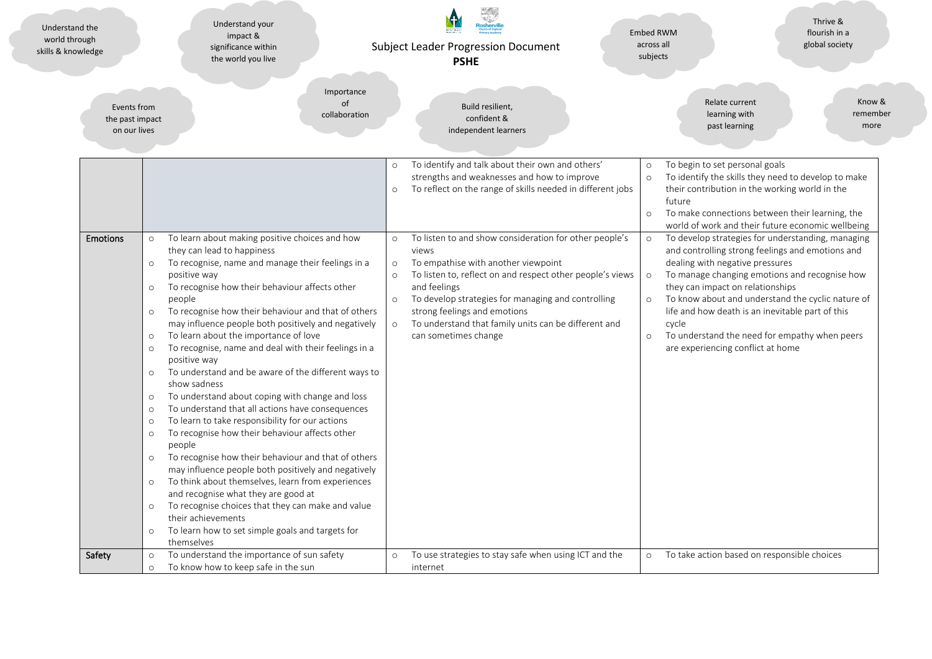| Understand the<br>world through<br>skills & knowledge | Understand your<br>impact &<br>significance within<br>the world you live                                                                                                                                                                                                                                                                                                                                                                                                                                                                                                                                                                                                                                                                                                                                                                                                                                                                                                                                                                                                                                                                                                                                                                                              | <b>Subject Leader Progression Document</b><br><b>PSHE</b>                                                                                                                                                                                                                                                                                                                                                        | Thrive &<br>flourish in a<br><b>Embed RWM</b><br>across all<br>global society<br>subjects                                                                                                                                                                                                                                                                                                                                                                                         |
|-------------------------------------------------------|-----------------------------------------------------------------------------------------------------------------------------------------------------------------------------------------------------------------------------------------------------------------------------------------------------------------------------------------------------------------------------------------------------------------------------------------------------------------------------------------------------------------------------------------------------------------------------------------------------------------------------------------------------------------------------------------------------------------------------------------------------------------------------------------------------------------------------------------------------------------------------------------------------------------------------------------------------------------------------------------------------------------------------------------------------------------------------------------------------------------------------------------------------------------------------------------------------------------------------------------------------------------------|------------------------------------------------------------------------------------------------------------------------------------------------------------------------------------------------------------------------------------------------------------------------------------------------------------------------------------------------------------------------------------------------------------------|-----------------------------------------------------------------------------------------------------------------------------------------------------------------------------------------------------------------------------------------------------------------------------------------------------------------------------------------------------------------------------------------------------------------------------------------------------------------------------------|
| Events from<br>the past impact<br>on our lives        | Importance<br>of<br>collaboration                                                                                                                                                                                                                                                                                                                                                                                                                                                                                                                                                                                                                                                                                                                                                                                                                                                                                                                                                                                                                                                                                                                                                                                                                                     | Build resilient,<br>confident &<br>independent learners                                                                                                                                                                                                                                                                                                                                                          | Relate current<br>Know &<br>learning with<br>remember<br>past learning<br>more                                                                                                                                                                                                                                                                                                                                                                                                    |
|                                                       |                                                                                                                                                                                                                                                                                                                                                                                                                                                                                                                                                                                                                                                                                                                                                                                                                                                                                                                                                                                                                                                                                                                                                                                                                                                                       | To identify and talk about their own and others'<br>$\circ$<br>strengths and weaknesses and how to improve<br>To reflect on the range of skills needed in different jobs<br>$\circ$                                                                                                                                                                                                                              | To begin to set personal goals<br>$\circ$<br>To identify the skills they need to develop to make<br>$\circ$<br>their contribution in the working world in the<br>future<br>To make connections between their learning, the<br>$\circ$<br>world of work and their future economic wellbeing                                                                                                                                                                                        |
| <b>Emotions</b>                                       | To learn about making positive choices and how<br>$\circ$<br>they can lead to happiness<br>To recognise, name and manage their feelings in a<br>$\circ$<br>positive way<br>To recognise how their behaviour affects other<br>$\circ$<br>people<br>To recognise how their behaviour and that of others<br>$\circ$<br>may influence people both positively and negatively<br>To learn about the importance of love<br>$\circ$<br>To recognise, name and deal with their feelings in a<br>$\circ$<br>positive way<br>To understand and be aware of the different ways to<br>$\circ$<br>show sadness<br>To understand about coping with change and loss<br>$\circ$<br>To understand that all actions have consequences<br>$\circ$<br>To learn to take responsibility for our actions<br>$\circ$<br>To recognise how their behaviour affects other<br>$\circ$<br>people<br>To recognise how their behaviour and that of others<br>$\circ$<br>may influence people both positively and negatively<br>To think about themselves, learn from experiences<br>$\circ$<br>and recognise what they are good at<br>To recognise choices that they can make and value<br>$\circ$<br>their achievements<br>To learn how to set simple goals and targets for<br>$\circ$<br>themselves | To listen to and show consideration for other people's<br>$\circ$<br>views<br>To empathise with another viewpoint<br>$\circ$<br>$\circ$<br>To listen to, reflect on and respect other people's views<br>and feelings<br>To develop strategies for managing and controlling<br>$\circ$<br>strong feelings and emotions<br>To understand that family units can be different and<br>$\circ$<br>can sometimes change | To develop strategies for understanding, managing<br>$\circ$<br>and controlling strong feelings and emotions and<br>dealing with negative pressures<br>To manage changing emotions and recognise how<br>$\circ$<br>they can impact on relationships<br>To know about and understand the cyclic nature of<br>$\circ$<br>life and how death is an inevitable part of this<br>cycle<br>To understand the need for empathy when peers<br>$\circ$<br>are experiencing conflict at home |
| Safety                                                | To understand the importance of sun safety<br>$\circ$<br>To know how to keep safe in the sun<br>$\circ$                                                                                                                                                                                                                                                                                                                                                                                                                                                                                                                                                                                                                                                                                                                                                                                                                                                                                                                                                                                                                                                                                                                                                               | To use strategies to stay safe when using ICT and the<br>$\circ$<br>internet                                                                                                                                                                                                                                                                                                                                     | To take action based on responsible choices<br>$\circ$                                                                                                                                                                                                                                                                                                                                                                                                                            |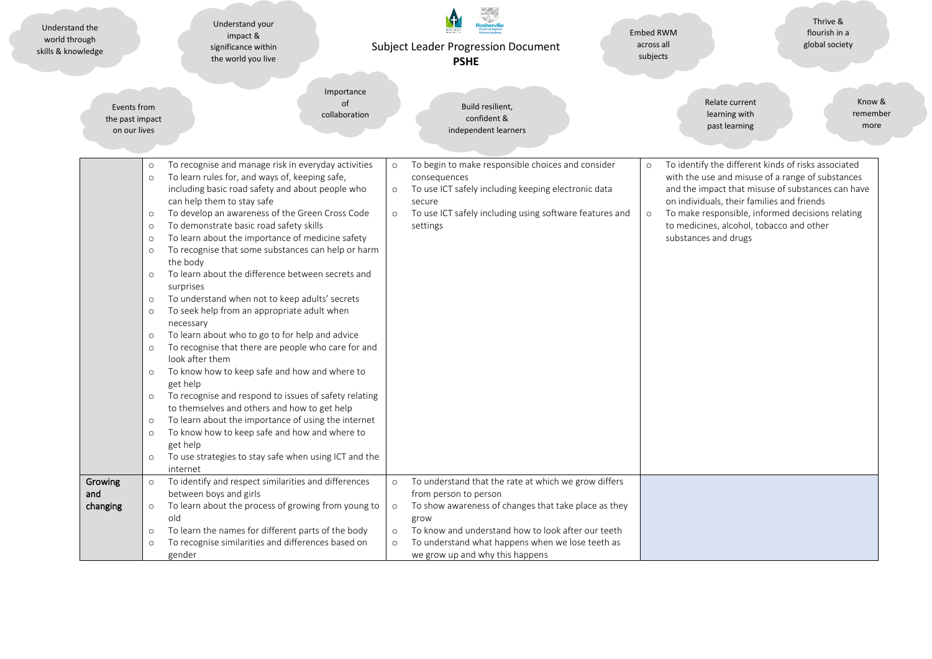| Understand the<br>world through<br>skills & knowledge | Understand your<br>impact &<br>significance within<br>the world you live                                                                                                                                                                                                                                                                                                                                                                                                                                                                                                                                                                                                                                                                                                                                                                                                                                                                                                                                                                                                                                                                                                                                                                                                | <b>Subject Leader Progression Document</b><br><b>PSHE</b>                                                                                                                                                                                                                                                                              | Thrive &<br>flourish in a<br><b>Embed RWM</b><br>across all<br>global society<br>subjects                                                                                                                                                                                                                                                                |
|-------------------------------------------------------|-------------------------------------------------------------------------------------------------------------------------------------------------------------------------------------------------------------------------------------------------------------------------------------------------------------------------------------------------------------------------------------------------------------------------------------------------------------------------------------------------------------------------------------------------------------------------------------------------------------------------------------------------------------------------------------------------------------------------------------------------------------------------------------------------------------------------------------------------------------------------------------------------------------------------------------------------------------------------------------------------------------------------------------------------------------------------------------------------------------------------------------------------------------------------------------------------------------------------------------------------------------------------|----------------------------------------------------------------------------------------------------------------------------------------------------------------------------------------------------------------------------------------------------------------------------------------------------------------------------------------|----------------------------------------------------------------------------------------------------------------------------------------------------------------------------------------------------------------------------------------------------------------------------------------------------------------------------------------------------------|
| Events from<br>the past impact<br>on our lives        | Importance<br>of<br>collaboration                                                                                                                                                                                                                                                                                                                                                                                                                                                                                                                                                                                                                                                                                                                                                                                                                                                                                                                                                                                                                                                                                                                                                                                                                                       | Build resilient,<br>confident &<br>independent learners                                                                                                                                                                                                                                                                                | Relate current<br>Know &<br>learning with<br>remember<br>past learning<br>more                                                                                                                                                                                                                                                                           |
|                                                       | To recognise and manage risk in everyday activities<br>$\circ$<br>To learn rules for, and ways of, keeping safe,<br>$\circ$<br>including basic road safety and about people who<br>can help them to stay safe<br>To develop an awareness of the Green Cross Code<br>$\circ$<br>To demonstrate basic road safety skills<br>$\circ$<br>To learn about the importance of medicine safety<br>$\circ$<br>To recognise that some substances can help or harm<br>$\circ$<br>the body<br>To learn about the difference between secrets and<br>$\circ$<br>surprises<br>To understand when not to keep adults' secrets<br>$\circ$<br>To seek help from an appropriate adult when<br>$\circ$<br>necessary<br>To learn about who to go to for help and advice<br>$\circ$<br>To recognise that there are people who care for and<br>$\circ$<br>look after them<br>To know how to keep safe and how and where to<br>$\circ$<br>get help<br>To recognise and respond to issues of safety relating<br>$\circ$<br>to themselves and others and how to get help<br>To learn about the importance of using the internet<br>$\circ$<br>To know how to keep safe and how and where to<br>$\circ$<br>get help<br>To use strategies to stay safe when using ICT and the<br>$\circ$<br>internet | To begin to make responsible choices and consider<br>$\circ$<br>consequences<br>To use ICT safely including keeping electronic data<br>$\circ$<br>secure<br>To use ICT safely including using software features and<br>$\circ$<br>settings                                                                                             | To identify the different kinds of risks associated<br>$\circ$<br>with the use and misuse of a range of substances<br>and the impact that misuse of substances can have<br>on individuals, their families and friends<br>To make responsible, informed decisions relating<br>$\circ$<br>to medicines, alcohol, tobacco and other<br>substances and drugs |
| Growing<br>and<br>changing                            | To identify and respect similarities and differences<br>$\circ$<br>between boys and girls<br>To learn about the process of growing from young to<br>$\circ$<br>old<br>To learn the names for different parts of the body<br>$\circ$<br>To recognise similarities and differences based on<br>$\circ$<br>gender                                                                                                                                                                                                                                                                                                                                                                                                                                                                                                                                                                                                                                                                                                                                                                                                                                                                                                                                                          | To understand that the rate at which we grow differs<br>$\circ$<br>from person to person<br>To show awareness of changes that take place as they<br>$\circ$<br>grow<br>To know and understand how to look after our teeth<br>$\circ$<br>$\circ$<br>To understand what happens when we lose teeth as<br>we grow up and why this happens |                                                                                                                                                                                                                                                                                                                                                          |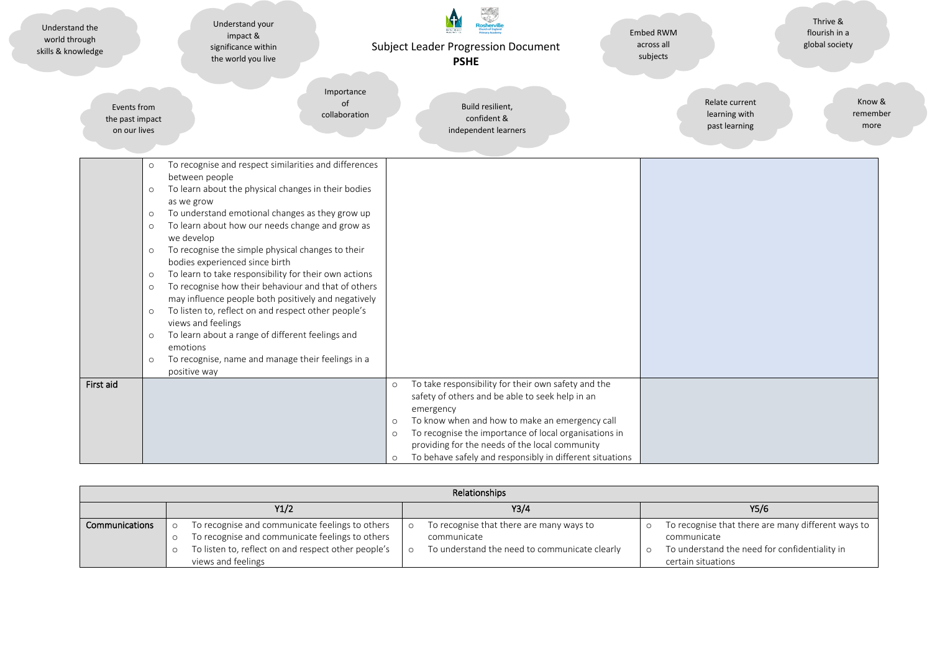| Understand the<br>world through<br>skills & knowledge                                                      | Understand your<br>impact &<br>significance within<br>the world you live                                                                                                                                                                                                                                                                                                                                                                                                                                                                                                                                                                                                                                                                         | <b>Subject Leader Progression Document</b><br><b>PSHE</b>                                    |                                                                                                                                                                                                                                                                                                                                 | <b>Embed RWM</b><br>across all<br>subjects       | Thrive &<br>flourish in a<br>global society |
|------------------------------------------------------------------------------------------------------------|--------------------------------------------------------------------------------------------------------------------------------------------------------------------------------------------------------------------------------------------------------------------------------------------------------------------------------------------------------------------------------------------------------------------------------------------------------------------------------------------------------------------------------------------------------------------------------------------------------------------------------------------------------------------------------------------------------------------------------------------------|----------------------------------------------------------------------------------------------|---------------------------------------------------------------------------------------------------------------------------------------------------------------------------------------------------------------------------------------------------------------------------------------------------------------------------------|--------------------------------------------------|---------------------------------------------|
| Events from<br>the past impact<br>on our lives                                                             |                                                                                                                                                                                                                                                                                                                                                                                                                                                                                                                                                                                                                                                                                                                                                  | Importance<br>of<br>Build resilient,<br>collaboration<br>confident &<br>independent learners |                                                                                                                                                                                                                                                                                                                                 | Relate current<br>learning with<br>past learning | Know &<br>remember<br>more                  |
| $\circ$<br>$\circ$<br>$\circ$<br>$\circ$<br>$\circ$<br>$\circ$<br>$\circ$<br>$\circ$<br>$\circ$<br>$\circ$ | To recognise and respect similarities and differences<br>between people<br>To learn about the physical changes in their bodies<br>as we grow<br>To understand emotional changes as they grow up<br>To learn about how our needs change and grow as<br>we develop<br>To recognise the simple physical changes to their<br>bodies experienced since birth<br>To learn to take responsibility for their own actions<br>To recognise how their behaviour and that of others<br>may influence people both positively and negatively<br>To listen to, reflect on and respect other people's<br>views and feelings<br>To learn about a range of different feelings and<br>emotions<br>To recognise, name and manage their feelings in a<br>positive way |                                                                                              |                                                                                                                                                                                                                                                                                                                                 |                                                  |                                             |
| First aid                                                                                                  |                                                                                                                                                                                                                                                                                                                                                                                                                                                                                                                                                                                                                                                                                                                                                  | $\circ$<br>emergency<br>$\circ$<br>$\circ$<br>$\circ$                                        | To take responsibility for their own safety and the<br>safety of others and be able to seek help in an<br>To know when and how to make an emergency call<br>To recognise the importance of local organisations in<br>providing for the needs of the local community<br>To behave safely and responsibly in different situations |                                                  |                                             |

| <b>Relationships</b> |  |                                                                                                                                                                                 |  |                                                                                                          |  |                                                                                                                                          |
|----------------------|--|---------------------------------------------------------------------------------------------------------------------------------------------------------------------------------|--|----------------------------------------------------------------------------------------------------------|--|------------------------------------------------------------------------------------------------------------------------------------------|
|                      |  | Y1/2                                                                                                                                                                            |  | Y3/4                                                                                                     |  | Y5/6                                                                                                                                     |
| Communications       |  | To recognise and communicate feelings to others<br>To recognise and communicate feelings to others<br>To listen to, reflect on and respect other people's<br>views and feelings |  | To recognise that there are many ways to<br>communicate<br>To understand the need to communicate clearly |  | To recognise that there are many different ways to<br>communicate<br>To understand the need for confidentiality in<br>certain situations |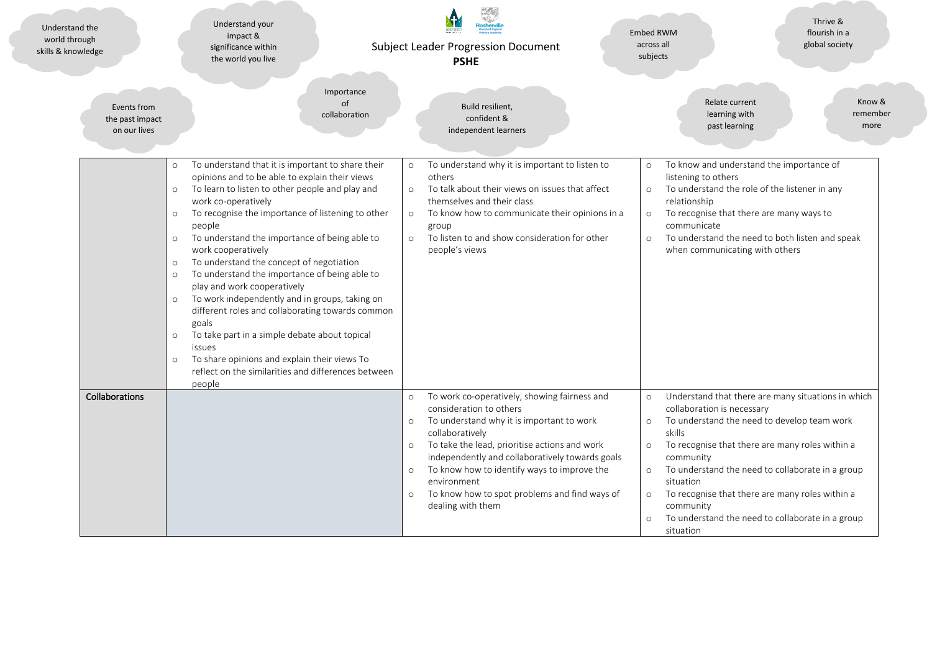| Understand the<br>world through<br>skills & knowledge | Understand your<br>impact &<br>significance within<br>the world you live                                                                                                                                                                                                                                                                                                                                                                                                                                                                                                                                                                                                                                                                                                                          | <b>Subject Leader Progression Document</b><br><b>PSHE</b>                                                                                                                                                                                                                                                                                                                                                                              | Thrive &<br>flourish in a<br>Embed RWM<br>across all<br>global society<br>subjects                                                                                                                                                                                                                                                                                                                                                                                            |
|-------------------------------------------------------|---------------------------------------------------------------------------------------------------------------------------------------------------------------------------------------------------------------------------------------------------------------------------------------------------------------------------------------------------------------------------------------------------------------------------------------------------------------------------------------------------------------------------------------------------------------------------------------------------------------------------------------------------------------------------------------------------------------------------------------------------------------------------------------------------|----------------------------------------------------------------------------------------------------------------------------------------------------------------------------------------------------------------------------------------------------------------------------------------------------------------------------------------------------------------------------------------------------------------------------------------|-------------------------------------------------------------------------------------------------------------------------------------------------------------------------------------------------------------------------------------------------------------------------------------------------------------------------------------------------------------------------------------------------------------------------------------------------------------------------------|
| Events from<br>the past impact<br>on our lives        | Importance<br>of<br>collaboration                                                                                                                                                                                                                                                                                                                                                                                                                                                                                                                                                                                                                                                                                                                                                                 | Build resilient,<br>confident &<br>independent learners                                                                                                                                                                                                                                                                                                                                                                                | Relate current<br>Know &<br>learning with<br>remember<br>past learning<br>more                                                                                                                                                                                                                                                                                                                                                                                                |
|                                                       | To understand that it is important to share their<br>$\circ$<br>opinions and to be able to explain their views<br>To learn to listen to other people and play and<br>work co-operatively<br>To recognise the importance of listening to other<br>$\circ$<br>people<br>To understand the importance of being able to<br>$\circ$<br>work cooperatively<br>To understand the concept of negotiation<br>To understand the importance of being able to<br>$\circ$<br>play and work cooperatively<br>To work independently and in groups, taking on<br>different roles and collaborating towards common<br>goals<br>To take part in a simple debate about topical<br>$\circ$<br>issues<br>To share opinions and explain their views To<br>reflect on the similarities and differences between<br>people | To understand why it is important to listen to<br>$\circ$<br>others<br>To talk about their views on issues that affect<br>$\circ$<br>themselves and their class<br>To know how to communicate their opinions in a<br>$\circ$<br>group<br>To listen to and show consideration for other<br>$\circ$<br>people's views                                                                                                                    | To know and understand the importance of<br>$\circ$<br>listening to others<br>To understand the role of the listener in any<br>$\circ$<br>relationship<br>To recognise that there are many ways to<br>$\circ$<br>communicate<br>To understand the need to both listen and speak<br>$\circ$<br>when communicating with others                                                                                                                                                  |
| Collaborations                                        |                                                                                                                                                                                                                                                                                                                                                                                                                                                                                                                                                                                                                                                                                                                                                                                                   | To work co-operatively, showing fairness and<br>$\circ$<br>consideration to others<br>To understand why it is important to work<br>$\circ$<br>collaboratively<br>To take the lead, prioritise actions and work<br>$\circ$<br>independently and collaboratively towards goals<br>To know how to identify ways to improve the<br>$\circ$<br>environment<br>To know how to spot problems and find ways of<br>$\circ$<br>dealing with them | Understand that there are many situations in which<br>$\circ$<br>collaboration is necessary<br>To understand the need to develop team work<br>$\circ$<br>skills<br>To recognise that there are many roles within a<br>$\circ$<br>community<br>To understand the need to collaborate in a group<br>$\circ$<br>situation<br>To recognise that there are many roles within a<br>$\circ$<br>community<br>To understand the need to collaborate in a group<br>$\circ$<br>situation |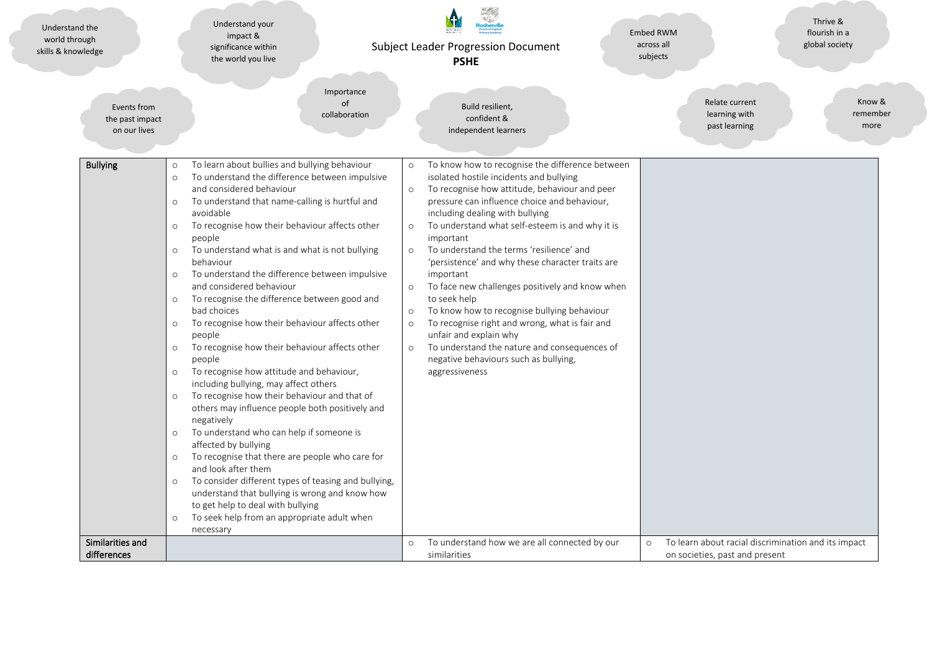| Understand the<br>world through<br>skills & knowledge | Understand your<br>impact &<br>significance within<br>the world you live                                                                                                                                                                                                                                                                                                                                                                                                                                                                                                                                                                                                                                                                                                                                                                                                                                                                                                                                                                                                                                                                                                                                                                                                                                                       | <b>Subject Leader Progression Document</b><br><b>PSHE</b>                                                                                                                                                                                                                                                                                                                                                                                                                                                                                                                                                                                                                                                                                                                                                    | Thrive &<br>flourish in a<br>Embed RWM<br>global society<br>across all<br>subjects               |
|-------------------------------------------------------|--------------------------------------------------------------------------------------------------------------------------------------------------------------------------------------------------------------------------------------------------------------------------------------------------------------------------------------------------------------------------------------------------------------------------------------------------------------------------------------------------------------------------------------------------------------------------------------------------------------------------------------------------------------------------------------------------------------------------------------------------------------------------------------------------------------------------------------------------------------------------------------------------------------------------------------------------------------------------------------------------------------------------------------------------------------------------------------------------------------------------------------------------------------------------------------------------------------------------------------------------------------------------------------------------------------------------------|--------------------------------------------------------------------------------------------------------------------------------------------------------------------------------------------------------------------------------------------------------------------------------------------------------------------------------------------------------------------------------------------------------------------------------------------------------------------------------------------------------------------------------------------------------------------------------------------------------------------------------------------------------------------------------------------------------------------------------------------------------------------------------------------------------------|--------------------------------------------------------------------------------------------------|
| Events from<br>the past impact<br>on our lives        | Importance<br>of<br>collaboration                                                                                                                                                                                                                                                                                                                                                                                                                                                                                                                                                                                                                                                                                                                                                                                                                                                                                                                                                                                                                                                                                                                                                                                                                                                                                              | Build resilient,<br>confident &<br>independent learners                                                                                                                                                                                                                                                                                                                                                                                                                                                                                                                                                                                                                                                                                                                                                      | Relate current<br>Know &<br>learning with<br>remember<br>past learning<br>more                   |
| <b>Bullying</b>                                       | To learn about bullies and bullying behaviour<br>$\circ$<br>To understand the difference between impulsive<br>$\circ$<br>and considered behaviour<br>To understand that name-calling is hurtful and<br>$\circ$<br>avoidable<br>To recognise how their behaviour affects other<br>$\circ$<br>people<br>To understand what is and what is not bullying<br>$\circ$<br>behaviour<br>To understand the difference between impulsive<br>$\circ$<br>and considered behaviour<br>To recognise the difference between good and<br>$\circ$<br>bad choices<br>To recognise how their behaviour affects other<br>$\circ$<br>people<br>To recognise how their behaviour affects other<br>$\circ$<br>people<br>To recognise how attitude and behaviour,<br>$\circ$<br>including bullying, may affect others<br>To recognise how their behaviour and that of<br>$\circ$<br>others may influence people both positively and<br>negatively<br>To understand who can help if someone is<br>$\circ$<br>affected by bullying<br>To recognise that there are people who care for<br>$\circ$<br>and look after them<br>To consider different types of teasing and bullying,<br>$\circ$<br>understand that bullying is wrong and know how<br>to get help to deal with bullying<br>To seek help from an appropriate adult when<br>$\circ$<br>necessary | To know how to recognise the difference between<br>$\circ$<br>isolated hostile incidents and bullying<br>To recognise how attitude, behaviour and peer<br>$\circ$<br>pressure can influence choice and behaviour,<br>including dealing with bullying<br>To understand what self-esteem is and why it is<br>$\circ$<br>important<br>To understand the terms 'resilience' and<br>$\circ$<br>'persistence' and why these character traits are<br>important<br>To face new challenges positively and know when<br>$\circ$<br>to seek help<br>To know how to recognise bullying behaviour<br>$\circ$<br>To recognise right and wrong, what is fair and<br>$\circ$<br>unfair and explain why<br>To understand the nature and consequences of<br>$\circ$<br>negative behaviours such as bullying,<br>aggressiveness |                                                                                                  |
| Similarities and<br>differences                       |                                                                                                                                                                                                                                                                                                                                                                                                                                                                                                                                                                                                                                                                                                                                                                                                                                                                                                                                                                                                                                                                                                                                                                                                                                                                                                                                | To understand how we are all connected by our<br>$\circ$<br>similarities                                                                                                                                                                                                                                                                                                                                                                                                                                                                                                                                                                                                                                                                                                                                     | To learn about racial discrimination and its impact<br>$\circ$<br>on societies, past and present |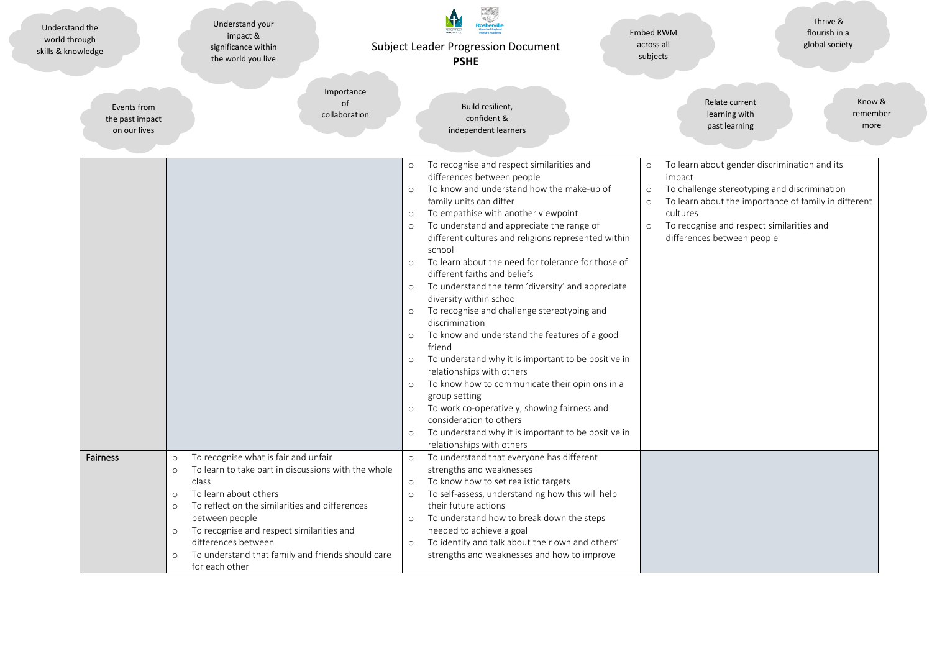| Understand the<br>world through<br>skills & knowledge | Understand your<br>impact &<br>significance within<br>the world you live                                                                                                                                                                                                                                                                                                                                       | <b>Subject Leader Progression Document</b><br><b>PSHE</b>                                                                                                                                                                                                                                                                                                                                                                                                                                                                                                                                                                                                                                                                                                                                                                                                                                                                                                                                                                                                        | Thrive &<br>flourish in a<br><b>Embed RWM</b><br>across all<br>global society<br>subjects                                                                                                                                                                                                         |
|-------------------------------------------------------|----------------------------------------------------------------------------------------------------------------------------------------------------------------------------------------------------------------------------------------------------------------------------------------------------------------------------------------------------------------------------------------------------------------|------------------------------------------------------------------------------------------------------------------------------------------------------------------------------------------------------------------------------------------------------------------------------------------------------------------------------------------------------------------------------------------------------------------------------------------------------------------------------------------------------------------------------------------------------------------------------------------------------------------------------------------------------------------------------------------------------------------------------------------------------------------------------------------------------------------------------------------------------------------------------------------------------------------------------------------------------------------------------------------------------------------------------------------------------------------|---------------------------------------------------------------------------------------------------------------------------------------------------------------------------------------------------------------------------------------------------------------------------------------------------|
| Events from<br>the past impact<br>on our lives        | Importance<br>of<br>collaboration                                                                                                                                                                                                                                                                                                                                                                              | Build resilient,<br>confident &<br>independent learners                                                                                                                                                                                                                                                                                                                                                                                                                                                                                                                                                                                                                                                                                                                                                                                                                                                                                                                                                                                                          | Relate current<br>Know &<br>learning with<br>remember<br>past learning<br>more                                                                                                                                                                                                                    |
|                                                       |                                                                                                                                                                                                                                                                                                                                                                                                                | To recognise and respect similarities and<br>$\circ$<br>differences between people<br>To know and understand how the make-up of<br>$\circ$<br>family units can differ<br>To empathise with another viewpoint<br>$\circ$<br>To understand and appreciate the range of<br>$\circ$<br>different cultures and religions represented within<br>school<br>To learn about the need for tolerance for those of<br>$\circ$<br>different faiths and beliefs<br>To understand the term 'diversity' and appreciate<br>$\circ$<br>diversity within school<br>To recognise and challenge stereotyping and<br>$\circ$<br>discrimination<br>To know and understand the features of a good<br>$\circ$<br>friend<br>To understand why it is important to be positive in<br>$\circ$<br>relationships with others<br>To know how to communicate their opinions in a<br>$\circ$<br>group setting<br>To work co-operatively, showing fairness and<br>$\circ$<br>consideration to others<br>To understand why it is important to be positive in<br>$\circ$<br>relationships with others | To learn about gender discrimination and its<br>$\circ$<br>impact<br>To challenge stereotyping and discrimination<br>$\circ$<br>To learn about the importance of family in different<br>$\circ$<br>cultures<br>To recognise and respect similarities and<br>$\circ$<br>differences between people |
| Fairness                                              | To recognise what is fair and unfair<br>$\circ$<br>To learn to take part in discussions with the whole<br>$\circ$<br>class<br>To learn about others<br>$\circ$<br>To reflect on the similarities and differences<br>$\circ$<br>between people<br>To recognise and respect similarities and<br>$\circ$<br>differences between<br>To understand that family and friends should care<br>$\circ$<br>for each other | To understand that everyone has different<br>$\circ$<br>strengths and weaknesses<br>To know how to set realistic targets<br>$\circ$<br>To self-assess, understanding how this will help<br>$\circ$<br>their future actions<br>To understand how to break down the steps<br>$\circ$<br>needed to achieve a goal<br>To identify and talk about their own and others'<br>$\circ$<br>strengths and weaknesses and how to improve                                                                                                                                                                                                                                                                                                                                                                                                                                                                                                                                                                                                                                     |                                                                                                                                                                                                                                                                                                   |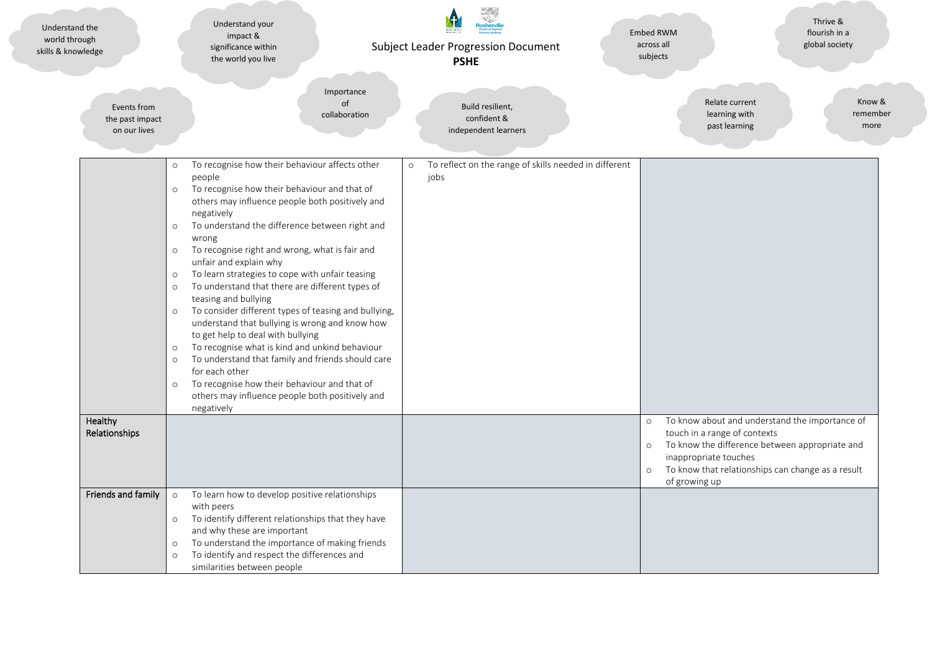| Understand the<br>world through<br>skills & knowledge | Understand your<br>impact &<br>significance within<br>the world you live                                                                                                                                                                                                                                                                                                                                                                                                                                                                                                                                                                                                                                                                                                                                                                                                                                                                              | <b>Subject Leader Progression Document</b><br><b>PSHE</b>                | <b>Embed RWM</b><br>across all<br>subjects                                                              | Thrive &<br>flourish in a<br>global society                                                                                                           |
|-------------------------------------------------------|-------------------------------------------------------------------------------------------------------------------------------------------------------------------------------------------------------------------------------------------------------------------------------------------------------------------------------------------------------------------------------------------------------------------------------------------------------------------------------------------------------------------------------------------------------------------------------------------------------------------------------------------------------------------------------------------------------------------------------------------------------------------------------------------------------------------------------------------------------------------------------------------------------------------------------------------------------|--------------------------------------------------------------------------|---------------------------------------------------------------------------------------------------------|-------------------------------------------------------------------------------------------------------------------------------------------------------|
| Events from<br>the past impact<br>on our lives        | Importance<br>of<br>collaboration                                                                                                                                                                                                                                                                                                                                                                                                                                                                                                                                                                                                                                                                                                                                                                                                                                                                                                                     | Build resilient,<br>confident &<br>independent learners                  | Relate current<br>learning with<br>past learning                                                        | Know &<br>remember<br>more                                                                                                                            |
|                                                       | To recognise how their behaviour affects other<br>$\circ$<br>people<br>To recognise how their behaviour and that of<br>$\circ$<br>others may influence people both positively and<br>negatively<br>To understand the difference between right and<br>$\circ$<br>wrong<br>To recognise right and wrong, what is fair and<br>$\circ$<br>unfair and explain why<br>To learn strategies to cope with unfair teasing<br>$\circ$<br>To understand that there are different types of<br>$\circ$<br>teasing and bullying<br>To consider different types of teasing and bullying,<br>$\circ$<br>understand that bullying is wrong and know how<br>to get help to deal with bullying<br>To recognise what is kind and unkind behaviour<br>$\circ$<br>To understand that family and friends should care<br>$\circ$<br>for each other<br>To recognise how their behaviour and that of<br>$\circ$<br>others may influence people both positively and<br>negatively | To reflect on the range of skills needed in different<br>$\circ$<br>jobs |                                                                                                         |                                                                                                                                                       |
| Healthy<br>Relationships                              |                                                                                                                                                                                                                                                                                                                                                                                                                                                                                                                                                                                                                                                                                                                                                                                                                                                                                                                                                       |                                                                          | $\circ$<br>touch in a range of contexts<br>$\circ$<br>inappropriate touches<br>$\circ$<br>of growing up | To know about and understand the importance of<br>To know the difference between appropriate and<br>To know that relationships can change as a result |
| Friends and family                                    | To learn how to develop positive relationships<br>$\circ$<br>with peers<br>To identify different relationships that they have<br>$\circ$<br>and why these are important<br>To understand the importance of making friends<br>$\circ$<br>To identify and respect the differences and<br>$\circ$<br>similarities between people                                                                                                                                                                                                                                                                                                                                                                                                                                                                                                                                                                                                                         |                                                                          |                                                                                                         |                                                                                                                                                       |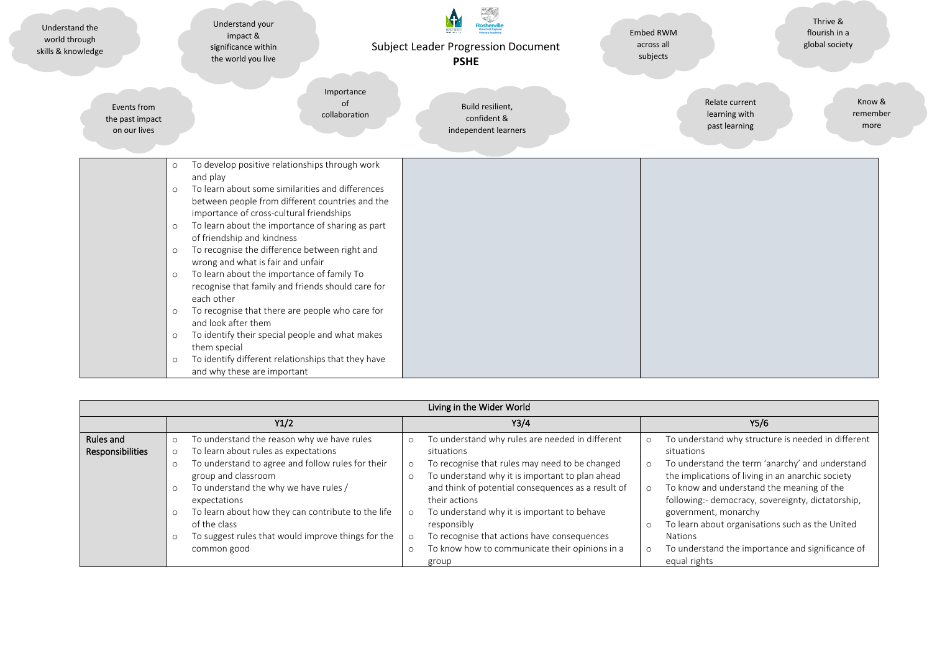| Understand the<br>world through<br>skills & knowledge | Understand your<br>impact &<br>significance within<br>the world you live                                                                                                                                                                                                                                                                                                                                                                                                                                                                                                                                                                                                                                                                                                                                                         | Subject Leader Progression Document<br><b>PSHE</b>      | <b>Embed RWM</b><br>across all<br>subjects       | Thrive &<br>flourish in a<br>global society |
|-------------------------------------------------------|----------------------------------------------------------------------------------------------------------------------------------------------------------------------------------------------------------------------------------------------------------------------------------------------------------------------------------------------------------------------------------------------------------------------------------------------------------------------------------------------------------------------------------------------------------------------------------------------------------------------------------------------------------------------------------------------------------------------------------------------------------------------------------------------------------------------------------|---------------------------------------------------------|--------------------------------------------------|---------------------------------------------|
| Events from<br>the past impact<br>on our lives        | Importance<br>of<br>collaboration                                                                                                                                                                                                                                                                                                                                                                                                                                                                                                                                                                                                                                                                                                                                                                                                | Build resilient,<br>confident &<br>independent learners | Relate current<br>learning with<br>past learning | Know &<br>remember<br>more                  |
|                                                       | To develop positive relationships through work<br>$\circ$<br>and play<br>To learn about some similarities and differences<br>$\circ$<br>between people from different countries and the<br>importance of cross-cultural friendships<br>To learn about the importance of sharing as part<br>$\circ$<br>of friendship and kindness<br>To recognise the difference between right and<br>$\circ$<br>wrong and what is fair and unfair<br>To learn about the importance of family To<br>$\circ$<br>recognise that family and friends should care for<br>each other<br>To recognise that there are people who care for<br>$\circ$<br>and look after them<br>To identify their special people and what makes<br>$\circ$<br>them special<br>To identify different relationships that they have<br>$\circ$<br>and why these are important |                                                         |                                                  |                                             |

| Living in the Wider World     |                                                                                                                                                                                                                        |                                                                                                                                                                                                                                             |                                                                                                                                                                                                                                                                 |  |  |  |  |
|-------------------------------|------------------------------------------------------------------------------------------------------------------------------------------------------------------------------------------------------------------------|---------------------------------------------------------------------------------------------------------------------------------------------------------------------------------------------------------------------------------------------|-----------------------------------------------------------------------------------------------------------------------------------------------------------------------------------------------------------------------------------------------------------------|--|--|--|--|
|                               | Y1/2                                                                                                                                                                                                                   | Y3/4                                                                                                                                                                                                                                        | Y5/6                                                                                                                                                                                                                                                            |  |  |  |  |
| Rules and<br>Responsibilities | To understand the reason why we have rules<br>$\circ$<br>To learn about rules as expectations<br>$\circ$<br>To understand to agree and follow rules for their<br>$\circ$<br>group and classroom                        | To understand why rules are needed in different<br>situations<br>To recognise that rules may need to be changed<br>$\circ$<br>To understand why it is important to plan ahead                                                               | To understand why structure is needed in different<br>situations<br>To understand the term 'anarchy' and understand<br>the implications of living in an anarchic society                                                                                        |  |  |  |  |
|                               | To understand the why we have rules /<br>$\circ$<br>expectations<br>To learn about how they can contribute to the life<br>$\circ$<br>of the class<br>To suggest rules that would improve things for the<br>common good | and think of potential consequences as a result of<br>their actions<br>To understand why it is important to behave<br>responsibly<br>To recognise that actions have consequences<br>To know how to communicate their opinions in a<br>group | To know and understand the meaning of the<br>following:- democracy, sovereignty, dictatorship,<br>government, monarchy<br>To learn about organisations such as the United<br><b>Nations</b><br>To understand the importance and significance of<br>equal rights |  |  |  |  |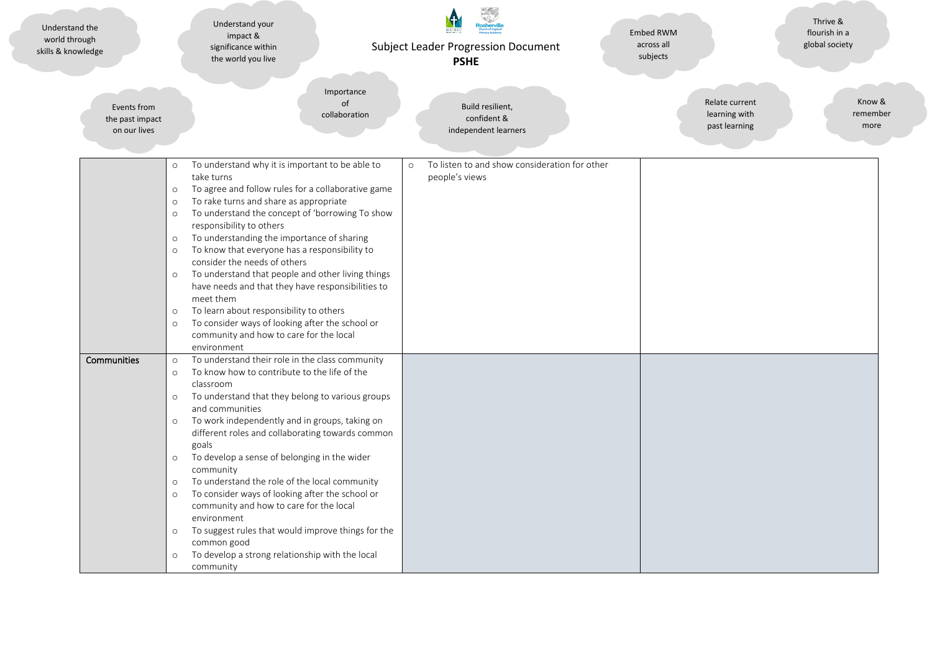| Understand the<br>world through<br>skills & knowledge | Understand your<br>impact &<br>significance within<br>the world you live                                                                                                                                                                                                                                                                                                                                                                                                                                                                                                                                                                                                                                                                                              | <b>Subject Leader Progression Document</b><br><b>PSHE</b>                  | <b>Embed RWM</b><br>across all<br>subjects       | Thrive &<br>flourish in a<br>global society |
|-------------------------------------------------------|-----------------------------------------------------------------------------------------------------------------------------------------------------------------------------------------------------------------------------------------------------------------------------------------------------------------------------------------------------------------------------------------------------------------------------------------------------------------------------------------------------------------------------------------------------------------------------------------------------------------------------------------------------------------------------------------------------------------------------------------------------------------------|----------------------------------------------------------------------------|--------------------------------------------------|---------------------------------------------|
| Events from<br>the past impact<br>on our lives        | Importance<br>of<br>collaboration                                                                                                                                                                                                                                                                                                                                                                                                                                                                                                                                                                                                                                                                                                                                     | Build resilient,<br>confident &<br>independent learners                    | Relate current<br>learning with<br>past learning | Know &<br>remember<br>more                  |
|                                                       | To understand why it is important to be able to<br>$\circ$<br>take turns<br>To agree and follow rules for a collaborative game<br>$\circ$<br>To rake turns and share as appropriate<br>$\circ$<br>To understand the concept of 'borrowing To show<br>$\circ$<br>responsibility to others<br>To understanding the importance of sharing<br>$\circ$<br>To know that everyone has a responsibility to<br>$\circ$<br>consider the needs of others<br>To understand that people and other living things<br>$\circ$<br>have needs and that they have responsibilities to<br>meet them<br>To learn about responsibility to others<br>$\circ$<br>To consider ways of looking after the school or<br>$\circ$<br>community and how to care for the local<br>environment         | To listen to and show consideration for other<br>$\circ$<br>people's views |                                                  |                                             |
| Communities                                           | To understand their role in the class community<br>$\circ$<br>To know how to contribute to the life of the<br>$\circ$<br>classroom<br>To understand that they belong to various groups<br>$\circ$<br>and communities<br>To work independently and in groups, taking on<br>$\circ$<br>different roles and collaborating towards common<br>goals<br>To develop a sense of belonging in the wider<br>$\circ$<br>community<br>To understand the role of the local community<br>$\circ$<br>To consider ways of looking after the school or<br>$\circ$<br>community and how to care for the local<br>environment<br>To suggest rules that would improve things for the<br>$\circ$<br>common good<br>To develop a strong relationship with the local<br>$\circ$<br>community |                                                                            |                                                  |                                             |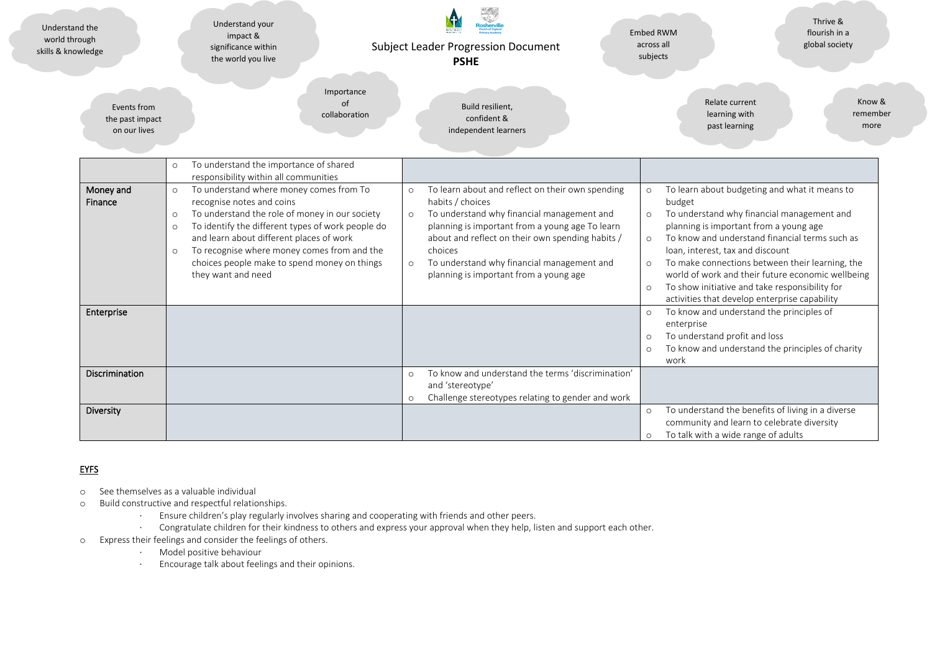| Understand the<br>world through<br>skills & knowledge | Understand your<br>impact &<br>significance within<br>the world you live                                                                                                                                                                                                                                                                                                                 | <b>Subject Leader Progression Document</b><br><b>PSHE</b>                                                                                                                                                                                                                                                                                                     | Thrive &<br>flourish in a<br><b>Embed RWM</b><br>across all<br>global society<br>subjects                                                                                                                                                                                                                                                                                                                                                                                                    |
|-------------------------------------------------------|------------------------------------------------------------------------------------------------------------------------------------------------------------------------------------------------------------------------------------------------------------------------------------------------------------------------------------------------------------------------------------------|---------------------------------------------------------------------------------------------------------------------------------------------------------------------------------------------------------------------------------------------------------------------------------------------------------------------------------------------------------------|----------------------------------------------------------------------------------------------------------------------------------------------------------------------------------------------------------------------------------------------------------------------------------------------------------------------------------------------------------------------------------------------------------------------------------------------------------------------------------------------|
| Events from<br>the past impact<br>on our lives        | Importance<br>of<br>collaboration                                                                                                                                                                                                                                                                                                                                                        | Build resilient,<br>confident &<br>independent learners                                                                                                                                                                                                                                                                                                       | Know &<br>Relate current<br>learning with<br>remember<br>past learning<br>more                                                                                                                                                                                                                                                                                                                                                                                                               |
|                                                       | To understand the importance of shared<br>$\circ$<br>responsibility within all communities                                                                                                                                                                                                                                                                                               |                                                                                                                                                                                                                                                                                                                                                               |                                                                                                                                                                                                                                                                                                                                                                                                                                                                                              |
| Money and<br>Finance                                  | To understand where money comes from To<br>$\circ$<br>recognise notes and coins<br>To understand the role of money in our society<br>$\circ$<br>To identify the different types of work people do<br>$\circ$<br>and learn about different places of work<br>To recognise where money comes from and the<br>$\circ$<br>choices people make to spend money on things<br>they want and need | To learn about and reflect on their own spending<br>$\circ$<br>habits / choices<br>To understand why financial management and<br>$\circ$<br>planning is important from a young age To learn<br>about and reflect on their own spending habits /<br>choices<br>To understand why financial management and<br>$\circ$<br>planning is important from a young age | To learn about budgeting and what it means to<br>$\circ$<br>budget<br>To understand why financial management and<br>$\circ$<br>planning is important from a young age<br>To know and understand financial terms such as<br>$\circ$<br>loan, interest, tax and discount<br>To make connections between their learning, the<br>world of work and their future economic wellbeing<br>To show initiative and take responsibility for<br>$\circ$<br>activities that develop enterprise capability |
| Enterprise                                            |                                                                                                                                                                                                                                                                                                                                                                                          |                                                                                                                                                                                                                                                                                                                                                               | To know and understand the principles of<br>enterprise<br>To understand profit and loss<br>$\circ$<br>To know and understand the principles of charity<br>$\circ$<br>work                                                                                                                                                                                                                                                                                                                    |
| Discrimination                                        |                                                                                                                                                                                                                                                                                                                                                                                          | To know and understand the terms 'discrimination'<br>$\circ$<br>and 'stereotype'<br>Challenge stereotypes relating to gender and work<br>$\circ$                                                                                                                                                                                                              |                                                                                                                                                                                                                                                                                                                                                                                                                                                                                              |
| Diversity                                             |                                                                                                                                                                                                                                                                                                                                                                                          |                                                                                                                                                                                                                                                                                                                                                               | To understand the benefits of living in a diverse<br>community and learn to celebrate diversity<br>To talk with a wide range of adults                                                                                                                                                                                                                                                                                                                                                       |

## **EYFS**

- o See themselves as a valuable individual
- o Build constructive and respectful relationships.
	- · Ensure children's play regularly involves sharing and cooperating with friends and other peers.
	- · Congratulate children for their kindness to others and express your approval when they help, listen and support each other.
- o Express their feelings and consider the feelings of others.
	- · Model positive behaviour
	- · Encourage talk about feelings and their opinions.